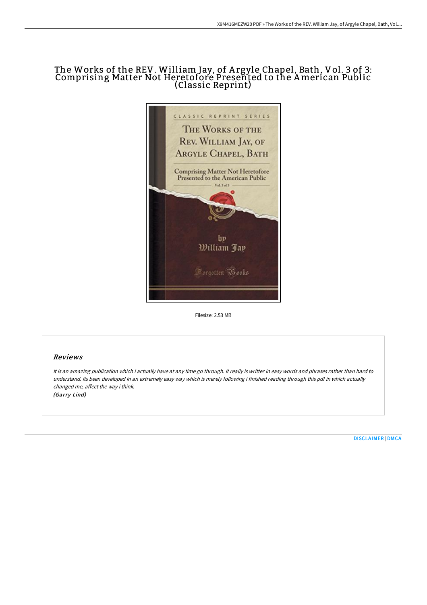# The Works of the REV. William Jay, of A rgyle Chapel, Bath, Vol. 3 of 3: Comprising Matter Not Heretofore Presented to the American Public (Classic Reprint)



Filesize: 2.53 MB

## Reviews

It is an amazing publication which i actually have at any time go through. It really is writter in easy words and phrases rather than hard to understand. Its been developed in an extremely easy way which is merely following i finished reading through this pdf in which actually changed me, affect the way i think. (Garry Lind)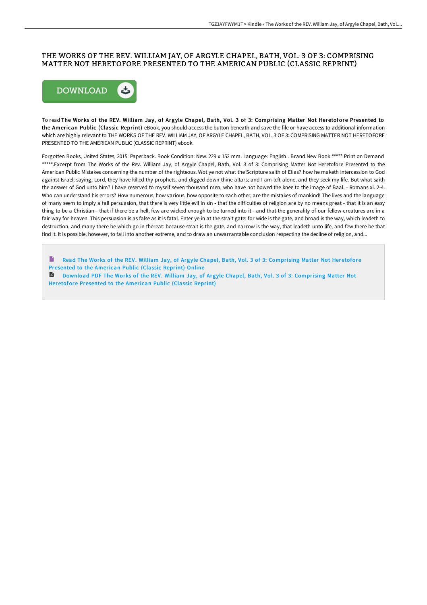### THE WORKS OF THE REV. WILLIAM JAY, OF ARGYLE CHAPEL, BATH, VOL. 3 OF 3: COMPRISING MATTER NOT HERETOFORE PRESENTED TO THE AMERICAN PUBLIC (CLASSIC REPRINT)



To read The Works of the REV. William Jay, of Argyle Chapel, Bath, Vol. 3 of 3: Comprising Matter Not Heretofore Presented to the American Public (Classic Reprint) eBook, you should access the button beneath and save the file or have access to additional information which are highly relevant to THE WORKS OF THE REV. WILLIAM JAY, OF ARGYLE CHAPEL, BATH, VOL. 3 OF 3: COMPRISING MATTER NOT HERETOFORE PRESENTED TO THE AMERICAN PUBLIC (CLASSIC REPRINT) ebook.

Forgotten Books, United States, 2015. Paperback. Book Condition: New. 229 x 152 mm. Language: English . Brand New Book \*\*\*\*\* Print on Demand \*\*\*\*\*.Excerpt from The Works of the Rev. William Jay, of Argyle Chapel, Bath, Vol. 3 of 3: Comprising Matter Not Heretofore Presented to the American Public Mistakes concerning the number of the righteous. Wot ye not what the Scripture saith of Elias? how he maketh intercession to God against Israel; saying, Lord, they have killed thy prophets, and digged down thine altars; and I am left alone, and they seek my life. But what saith the answer of God unto him? I have reserved to myself seven thousand men, who have not bowed the knee to the image of Baal. - Romans xi. 2-4. Who can understand his errors? How numerous, how various, how opposite to each other, are the mistakes of mankind! The lives and the language of many seem to imply a fall persuasion, that there is very little evil in sin - that the difficulties of religion are by no means great - that it is an easy thing to be a Christian - that if there be a hell, few are wicked enough to be turned into it - and that the generality of our fellow-creatures are in a fair way for heaven. This persuasion is as false as it is fatal. Enter ye in at the strait gate: for wide is the gate, and broad is the way, which leadeth to destruction, and many there be which go in thereat: because strait is the gate, and narrow is the way, that leadeth unto life, and few there be that find it. It is possible, however, to fall into another extreme, and to draw an unwarrantable conclusion respecting the decline of religion, and...

Read The Works of the REV. William Jay, of Argyle Chapel, Bath, Vol. 3 of 3: [Comprising](http://techno-pub.tech/the-works-of-the-rev-william-jay-of-argyle-chape.html) Matter Not Heretofore Presented to the American Public (Classic Reprint) Online Download PDF The Works of the REV. William Jay, of Argyle Chapel, Bath, Vol. 3 of 3: [Comprising](http://techno-pub.tech/the-works-of-the-rev-william-jay-of-argyle-chape.html) Matter Not Heretofore Presented to the American Public (Classic Reprint)